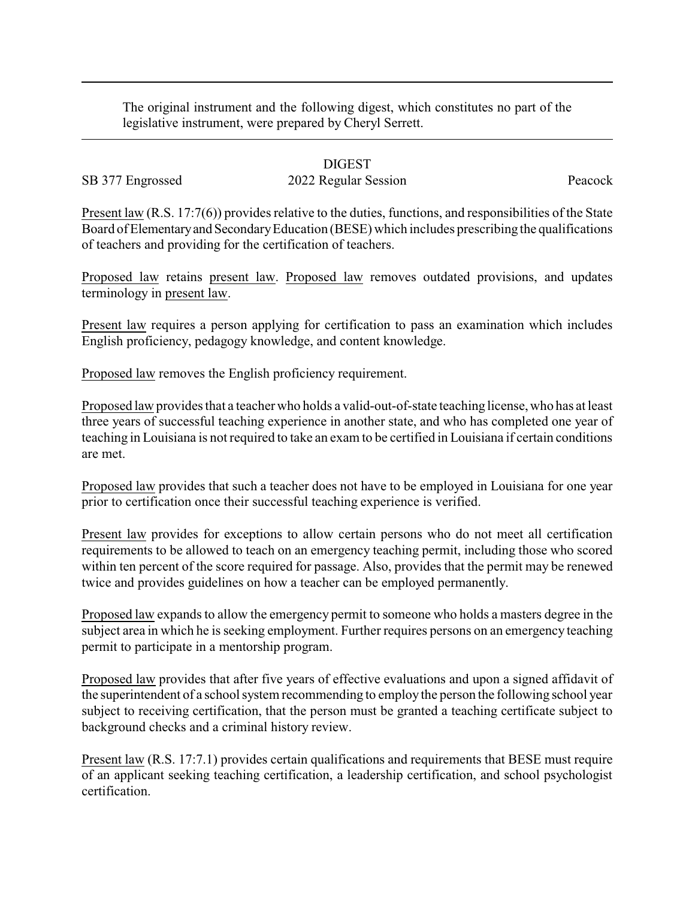The original instrument and the following digest, which constitutes no part of the legislative instrument, were prepared by Cheryl Serrett.

## DIGEST

## SB 377 Engrossed 2022 Regular Session Peacock

Present law (R.S. 17:7(6)) provides relative to the duties, functions, and responsibilities of the State Board of Elementary and Secondary Education (BESE) which includes prescribing the qualifications of teachers and providing for the certification of teachers.

Proposed law retains present law. Proposed law removes outdated provisions, and updates terminology in present law.

Present law requires a person applying for certification to pass an examination which includes English proficiency, pedagogy knowledge, and content knowledge.

Proposed law removes the English proficiency requirement.

Proposed law provides that a teacher who holds a valid-out-of-state teaching license, who has at least three years of successful teaching experience in another state, and who has completed one year of teaching in Louisiana is not required to take an exam to be certified in Louisiana if certain conditions are met.

Proposed law provides that such a teacher does not have to be employed in Louisiana for one year prior to certification once their successful teaching experience is verified.

Present law provides for exceptions to allow certain persons who do not meet all certification requirements to be allowed to teach on an emergency teaching permit, including those who scored within ten percent of the score required for passage. Also, provides that the permit may be renewed twice and provides guidelines on how a teacher can be employed permanently.

Proposed law expands to allow the emergency permit to someone who holds a masters degree in the subject area in which he is seeking employment. Further requires persons on an emergency teaching permit to participate in a mentorship program.

Proposed law provides that after five years of effective evaluations and upon a signed affidavit of the superintendent of a school system recommending to employ the person the following school year subject to receiving certification, that the person must be granted a teaching certificate subject to background checks and a criminal history review.

Present law (R.S. 17:7.1) provides certain qualifications and requirements that BESE must require of an applicant seeking teaching certification, a leadership certification, and school psychologist certification.